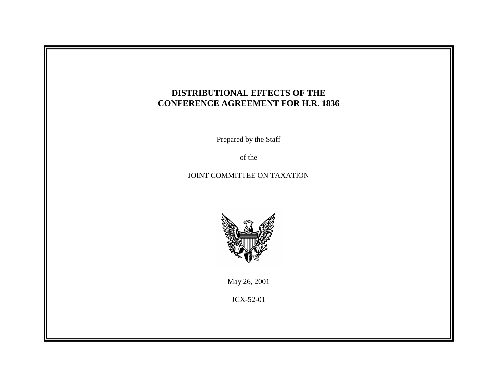

Prepared by the Staff

of the

# JOINT COMMITTEE ON TAXATION



May 26, 2001

JCX-52-01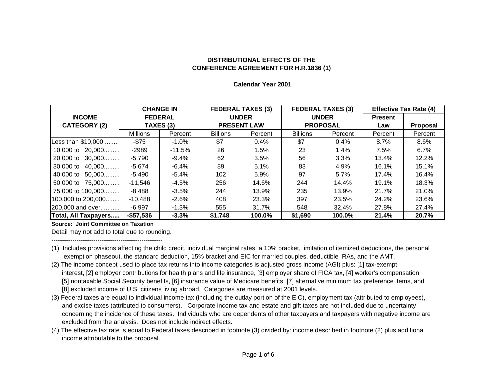#### **Calendar Year 2001**

|                       |                 | <b>CHANGE IN</b> |                    | <b>FEDERAL TAXES (3)</b> |                 | <b>FEDERAL TAXES (3)</b> | <b>Effective Tax Rate (4)</b> |                 |
|-----------------------|-----------------|------------------|--------------------|--------------------------|-----------------|--------------------------|-------------------------------|-----------------|
| <b>INCOME</b>         | <b>FEDERAL</b>  |                  | <b>UNDER</b>       |                          | <b>UNDER</b>    |                          | <b>Present</b>                |                 |
| <b>CATEGORY (2)</b>   | TAXES (3)       |                  | <b>PRESENT LAW</b> |                          | <b>PROPOSAL</b> |                          | Law                           | <b>Proposal</b> |
|                       | <b>Millions</b> | Percent          | <b>Billions</b>    | Percent                  | <b>Billions</b> | Percent                  | Percent                       | Percent         |
| Less than \$10,000    | $-$75$          | -1.0%            | \$7                | 0.4%                     | \$7             | 0.4%                     | 8.7%                          | 8.6%            |
| 10,000 to 20,000      | -2989           | $-11.5\%$        | 26                 | 1.5%                     | 23              | $1.4\%$                  | 7.5%                          | $6.7\%$         |
| 20,000 to 30,000      | -5.790          | -9.4%            | 62                 | 3.5%                     | 56              | 3.3%                     | 13.4%                         | 12.2%           |
| 30,000 to 40,000      | $-5,674$        | $-6.4%$          | 89                 | 5.1%                     | 83              | 4.9%                     | 16.1%                         | 15.1%           |
| 40,000 to<br>$50,000$ | $-5,490$        | $-5.4%$          | 102                | 5.9%                     | 97              | 5.7%                     | 17.4%                         | 16.4%           |
| 50,000 to 75,000      | -11.546         | -4.5%            | 256                | 14.6%                    | 244             | 14.4%                    | 19.1%                         | 18.3%           |
| 75,000 to 100,000     | -8.488          | $-3.5%$          | 244                | 13.9%                    | 235             | 13.9%                    | 21.7%                         | 21.0%           |
| 100,000 to 200,000    | $-10.488$       | $-2.6\%$         | 408                | 23.3%                    | 397             | 23.5%                    | 24.2%                         | 23.6%           |
| [200,000 and over]    | -6.997          | -1.3%            | 555                | 31.7%                    | 548             | 32.4%                    | 27.8%                         | 27.4%           |
| Total, All Taxpayers  | $-$ \$57,536    | $-3.3%$          | \$1,748            | 100.0%                   | \$1,690         | 100.0%                   | 21.4%                         | 20.7%           |

**Source: Joint Committee on Taxation**

Detail may not add to total due to rounding. -----------------------------------------------------

- (1) Includes provisions affecting the child credit, individual marginal rates, a 10% bracket, limitation of itemized deductions, the personal exemption phaseout, the standard deduction, 15% bracket and EIC for married couples, deductible IRAs, and the AMT.
- (2) The income concept used to place tax returns into income categories is adjusted gross income (AGI) plus: [1] tax-exempt interest, [2] employer contributions for health plans and life insurance, [3] employer share of FICA tax, [4] worker's compensation, [5] nontaxable Social Security benefits, [6] insurance value of Medicare benefits, [7] alternative minimum tax preference items, and [8] excluded income of U.S. citizens living abroad. Categories are measured at 2001 levels.
- (3) Federal taxes are equal to individual income tax (including the outlay portion of the EIC), employment tax (attributed to employees), and excise taxes (attributed to consumers). Corporate income tax and estate and gift taxes are not included due to uncertainty concerning the incidence of these taxes. Individuals who are dependents of other taxpayers and taxpayers with negative income are excluded from the analysis. Does not include indirect effects.
- (4) The effective tax rate is equal to Federal taxes described in footnote (3) divided by: income described in footnote (2) plus additional income attributable to the proposal.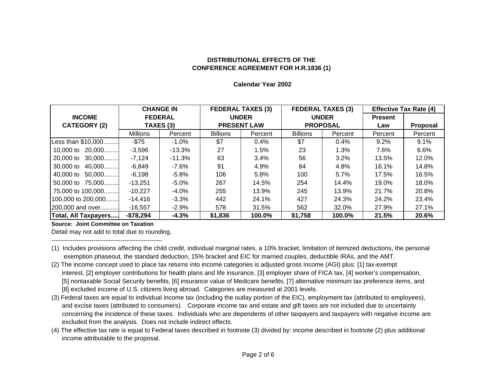#### **Calendar Year 2002**

|                       |                 | <b>CHANGE IN</b> |                    | <b>FEDERAL TAXES (3)</b> | <b>FEDERAL TAXES (3)</b><br><b>UNDER</b> |         | <b>Effective Tax Rate (4)</b> |                 |
|-----------------------|-----------------|------------------|--------------------|--------------------------|------------------------------------------|---------|-------------------------------|-----------------|
| <b>INCOME</b>         |                 | <b>FEDERAL</b>   |                    | <b>UNDER</b>             |                                          |         | <b>Present</b>                |                 |
| <b>CATEGORY (2)</b>   | TAXES (3)       |                  | <b>PRESENT LAW</b> |                          | <b>PROPOSAL</b>                          |         | Law                           | <b>Proposal</b> |
|                       | <b>Millions</b> | Percent          | <b>Billions</b>    | Percent                  | <b>Billions</b>                          | Percent | Percent                       | Percent         |
| Less than \$10,000    | $-$75$          | $-1.0\%$         | \$7                | 0.4%                     | \$7                                      | 0.4%    | 9.2%                          | 9.1%            |
| 10,000 to 20,000      | $-3,596$        | $-13.3\%$        | 27                 | 1.5%                     | 23                                       | 1.3%    | 7.6%                          | $6.6\%$         |
| 20,000 to 30,000      | $-7,124$        | $-11.3%$         | 63                 | 3.4%                     | 56                                       | 3.2%    | 13.5%                         | 12.0%           |
| 30,000 to 40,000      | -6.849          | -7.6%            | 91                 | 4.9%                     | 84                                       | 4.8%    | 16.1%                         | 14.8%           |
| 40,000 to<br>$50,000$ | $-6,198$        | -5.8%            | 106                | 5.8%                     | 100                                      | 5.7%    | 17.5%                         | 16.5%           |
| 50,000 to 75,000      | $-13.251$       | -5.0%            | 267                | 14.5%                    | 254                                      | 14.4%   | 19.0%                         | 18.0%           |
| 75,000 to 100,000     | $-10.227$       | $-4.0\%$         | 255                | 13.9%                    | 245                                      | 13.9%   | 21.7%                         | 20.8%           |
| 100,000 to 200,000    | $-14.416$       | $-3.3\%$         | 442                | 24.1%                    | 427                                      | 24.3%   | 24.2%                         | 23.4%           |
| 200,000 and over      | $-16.557$       | $-2.9%$          | 578                | 31.5%                    | 562                                      | 32.0%   | 27.9%                         | 27.1%           |
| Total, All Taxpayers  | $-$78,294$      | $-4.3%$          | \$1,836            | 100.0%                   | \$1,758                                  | 100.0%  | 21.5%                         | 20.6%           |

**Source: Joint Committee on Taxation**

Detail may not add to total due to rounding.

-----------------------------------------------------

- (1) Includes provisions affecting the child credit, individual marginal rates, a 10% bracket, limitation of itemized deductions, the personal exemption phaseout, the standard deduction, 15% bracket and EIC for married couples, deductible IRAs, and the AMT.
- (2) The income concept used to place tax returns into income categories is adjusted gross income (AGI) plus: [1] tax-exempt interest, [2] employer contributions for health plans and life insurance, [3] employer share of FICA tax, [4] worker's compensation, [5] nontaxable Social Security benefits, [6] insurance value of Medicare benefits, [7] alternative minimum tax preference items, and [8] excluded income of U.S. citizens living abroad. Categories are measured at 2001 levels.
- (3) Federal taxes are equal to individual income tax (including the outlay portion of the EIC), employment tax (attributed to employees), and excise taxes (attributed to consumers). Corporate income tax and estate and gift taxes are not included due to uncertainty concerning the incidence of these taxes. Individuals who are dependents of other taxpayers and taxpayers with negative income are excluded from the analysis. Does not include indirect effects.
- (4) The effective tax rate is equal to Federal taxes described in footnote (3) divided by: income described in footnote (2) plus additional income attributable to the proposal.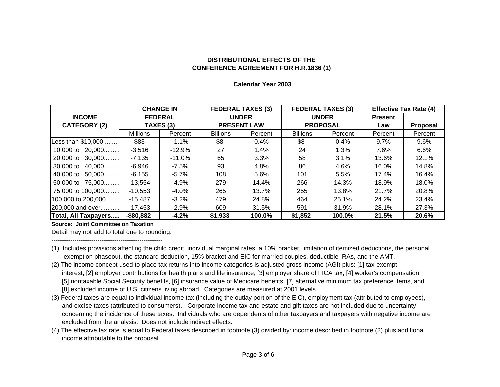#### **Calendar Year 2003**

|                      | <b>FEDERAL TAXES (3)</b><br><b>FEDERAL TAXES (3)</b><br><b>CHANGE IN</b> |                |                    |              | <b>Effective Tax Rate (4)</b> |              |         |                 |
|----------------------|--------------------------------------------------------------------------|----------------|--------------------|--------------|-------------------------------|--------------|---------|-----------------|
| <b>INCOME</b>        |                                                                          | <b>FEDERAL</b> |                    | <b>UNDER</b> |                               | <b>UNDER</b> |         |                 |
| <b>CATEGORY (2)</b>  | TAXES (3)                                                                |                | <b>PRESENT LAW</b> |              | <b>PROPOSAL</b>               |              | Law     | <b>Proposal</b> |
|                      | <b>Millions</b>                                                          | Percent        | <b>Billions</b>    | Percent      | <b>Billions</b>               | Percent      | Percent | Percent         |
| Less than \$10,000   | $-$ \$83                                                                 | $-1.1\%$       | \$8                | 0.4%         | \$8                           | 0.4%         | 9.7%    | 9.6%            |
| 10,000 to 20,000     | $-3.516$                                                                 | $-12.9%$       | 27                 | 1.4%         | 24                            | 1.3%         | 7.6%    | 6.6%            |
| 20,000 to 30,000     | $-7,135$                                                                 | $-11.0\%$      | 65                 | 3.3%         | 58                            | $3.1\%$      | 13.6%   | 12.1%           |
| 30,000 to 40,000     | $-6,946$                                                                 | -7.5%          | 93                 | 4.8%         | 86                            | 4.6%         | 16.0%   | 14.8%           |
| 40,000 to 50,000     | $-6,155$                                                                 | $-5.7\%$       | 108                | 5.6%         | 101                           | 5.5%         | 17.4%   | 16.4%           |
| 50,000 to 75,000     | $-13.554$                                                                | $-4.9%$        | 279                | 14.4%        | 266                           | 14.3%        | 18.9%   | 18.0%           |
| 75,000 to 100,000    | $-10,553$                                                                | -4.0%          | 265                | 13.7%        | 255                           | 13.8%        | 21.7%   | 20.8%           |
| 100,000 to 200,000   | $-15,487$                                                                | $-3.2\%$       | 479                | 24.8%        | 464                           | 25.1%        | 24.2%   | 23.4%           |
| 200,000 and over     | -17,453                                                                  | $-2.9\%$       | 609                | 31.5%        | 591                           | 31.9%        | 28.1%   | 27.3%           |
| Total, All Taxpayers | $-$ \$80,882                                                             | $-4.2%$        | \$1,933            | 100.0%       | \$1,852                       | 100.0%       | 21.5%   | 20.6%           |

**Source: Joint Committee on Taxation**

Detail may not add to total due to rounding.

-----------------------------------------------------

- (1) Includes provisions affecting the child credit, individual marginal rates, a 10% bracket, limitation of itemized deductions, the personal exemption phaseout, the standard deduction, 15% bracket and EIC for married couples, deductible IRAs, and the AMT.
- (2) The income concept used to place tax returns into income categories is adjusted gross income (AGI) plus: [1] tax-exempt interest, [2] employer contributions for health plans and life insurance, [3] employer share of FICA tax, [4] worker's compensation, [5] nontaxable Social Security benefits, [6] insurance value of Medicare benefits, [7] alternative minimum tax preference items, and [8] excluded income of U.S. citizens living abroad. Categories are measured at 2001 levels.
- (3) Federal taxes are equal to individual income tax (including the outlay portion of the EIC), employment tax (attributed to employees), and excise taxes (attributed to consumers). Corporate income tax and estate and gift taxes are not included due to uncertainty concerning the incidence of these taxes. Individuals who are dependents of other taxpayers and taxpayers with negative income are excluded from the analysis. Does not include indirect effects.
- (4) The effective tax rate is equal to Federal taxes described in footnote (3) divided by: income described in footnote (2) plus additional income attributable to the proposal.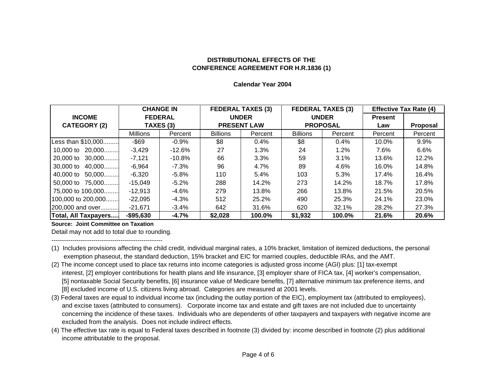#### **Calendar Year 2004**

|                      |                 | <b>CHANGE IN</b> |                    | <b>FEDERAL TAXES (3)</b> | <b>FEDERAL TAXES (3)</b> |         | <b>Effective Tax Rate (4)</b> |          |
|----------------------|-----------------|------------------|--------------------|--------------------------|--------------------------|---------|-------------------------------|----------|
| <b>INCOME</b>        | <b>FEDERAL</b>  |                  | <b>UNDER</b>       |                          | <b>UNDER</b>             |         | <b>Present</b>                |          |
| <b>CATEGORY (2)</b>  | TAXES (3)       |                  | <b>PRESENT LAW</b> |                          | <b>PROPOSAL</b>          |         | Law                           | Proposal |
|                      | <b>Millions</b> | Percent          | <b>Billions</b>    | Percent                  | <b>Billions</b>          | Percent | Percent                       | Percent  |
| Less than \$10,000   | $-$ \$69        | $-0.9\%$         | \$8                | 0.4%                     | \$8                      | 0.4%    | 10.0%                         | 9.9%     |
| 10,000 to 20,000     | $-3,429$        | -12.6%           | 27                 | 1.3%                     | 24                       | 1.2%    | 7.6%                          | 6.6%     |
| 20,000 to 30,000     | $-7,121$        | -10.8%           | 66                 | 3.3%                     | 59                       | 3.1%    | 13.6%                         | 12.2%    |
| 30,000 to 40,000     | -6.964          | -7.3%            | 96                 | 4.7%                     | 89                       | 4.6%    | 16.0%                         | 14.8%    |
| 40,000 to 50,000     | $-6,320$        | $-5.8%$          | 110                | 5.4%                     | 103                      | 5.3%    | 17.4%                         | 16.4%    |
| 50,000 to 75,000     | $-15.049$       | -5.2%            | 288                | 14.2%                    | 273                      | 14.2%   | 18.7%                         | 17.8%    |
| 75,000 to 100,000    | $-12.913$       | -4.6%            | 279                | 13.8%                    | 266                      | 13.8%   | 21.5%                         | 20.5%    |
| 100,000 to 200,000   | $-22.095$       | -4.3%            | 512                | 25.2%                    | 490                      | 25.3%   | 24.1%                         | 23.0%    |
| 200,000 and over     | $-21.671$       | -3.4%            | 642                | 31.6%                    | 620                      | 32.1%   | 28.2%                         | 27.3%    |
| Total, All Taxpayers | $-$ \$95,630    | $-4.7%$          | \$2,028            | 100.0%                   | \$1,932                  | 100.0%  | 21.6%                         | 20.6%    |

**Source: Joint Committee on Taxation**

Detail may not add to total due to rounding.

-----------------------------------------------------

- (1) Includes provisions affecting the child credit, individual marginal rates, a 10% bracket, limitation of itemized deductions, the personal exemption phaseout, the standard deduction, 15% bracket and EIC for married couples, deductible IRAs, and the AMT.
- (2) The income concept used to place tax returns into income categories is adjusted gross income (AGI) plus: [1] tax-exempt interest, [2] employer contributions for health plans and life insurance, [3] employer share of FICA tax, [4] worker's compensation, [5] nontaxable Social Security benefits, [6] insurance value of Medicare benefits, [7] alternative minimum tax preference items, and [8] excluded income of U.S. citizens living abroad. Categories are measured at 2001 levels.
- (3) Federal taxes are equal to individual income tax (including the outlay portion of the EIC), employment tax (attributed to employees), and excise taxes (attributed to consumers). Corporate income tax and estate and gift taxes are not included due to uncertainty concerning the incidence of these taxes. Individuals who are dependents of other taxpayers and taxpayers with negative income are excluded from the analysis. Does not include indirect effects.
- (4) The effective tax rate is equal to Federal taxes described in footnote (3) divided by: income described in footnote (2) plus additional income attributable to the proposal.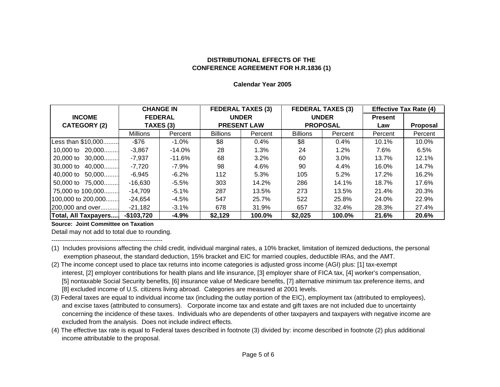#### **Calendar Year 2005**

|                       | <b>CHANGE IN</b> |                | <b>FEDERAL TAXES (3)</b> |              |                 | <b>FEDERAL TAXES (3)</b> | <b>Effective Tax Rate (4)</b> |          |
|-----------------------|------------------|----------------|--------------------------|--------------|-----------------|--------------------------|-------------------------------|----------|
| <b>INCOME</b>         |                  | <b>FEDERAL</b> |                          | <b>UNDER</b> |                 | <b>UNDER</b>             |                               |          |
| <b>CATEGORY (2)</b>   | TAXES (3)        |                | <b>PRESENT LAW</b>       |              | <b>PROPOSAL</b> |                          | Law                           | Proposal |
|                       | <b>Millions</b>  | Percent        | <b>Billions</b>          | Percent      | <b>Billions</b> | Percent                  | Percent                       | Percent  |
| Less than \$10,000    | $-$76$           | -1.0%          | \$8                      | 0.4%         | \$8             | 0.4%                     | 10.1%                         | 10.0%    |
| 10,000 to 20,000      | $-3.867$         | $-14.0\%$      | 28                       | 1.3%         | 24              | 1.2%                     | 7.6%                          | 6.5%     |
| 20,000 to 30,000      | -7.937           | -11.6%         | 68                       | $3.2\%$      | 60              | $3.0\%$                  | 13.7%                         | 12.1%    |
| 30,000 to 40,000      | -7.720           | -7.9%          | 98                       | 4.6%         | 90              | 4.4%                     | 16.0%                         | 14.7%    |
| 40,000 to<br>$50,000$ | $-6.945$         | $-6.2%$        | 112                      | 5.3%         | 105             | 5.2%                     | 17.2%                         | 16.2%    |
| 50,000 to 75,000      | -16.630          | -5.5%          | 303                      | 14.2%        | 286             | 14.1%                    | 18.7%                         | 17.6%    |
| 75,000 to 100,000     | $-14,709$        | $-5.1\%$       | 287                      | 13.5%        | 273             | 13.5%                    | 21.4%                         | 20.3%    |
| 100,000 to 200,000    | $-24.654$        | -4.5%          | 547                      | 25.7%        | 522             | 25.8%                    | 24.0%                         | 22.9%    |
| 200,000 and over      | -21,182          | -3.1%          | 678                      | 31.9%        | 657             | 32.4%                    | 28.3%                         | 27.4%    |
| Total, All Taxpayers  | $-$103,720$      | $-4.9%$        | \$2,129                  | 100.0%       | \$2,025         | 100.0%                   | 21.6%                         | 20.6%    |

**Source: Joint Committee on Taxation**

Detail may not add to total due to rounding. -----------------------------------------------------

- (1) Includes provisions affecting the child credit, individual marginal rates, a 10% bracket, limitation of itemized deductions, the personal exemption phaseout, the standard deduction, 15% bracket and EIC for married couples, deductible IRAs, and the AMT.
- (2) The income concept used to place tax returns into income categories is adjusted gross income (AGI) plus: [1] tax-exempt interest, [2] employer contributions for health plans and life insurance, [3] employer share of FICA tax, [4] worker's compensation, [5] nontaxable Social Security benefits, [6] insurance value of Medicare benefits, [7] alternative minimum tax preference items, and [8] excluded income of U.S. citizens living abroad. Categories are measured at 2001 levels.
- (3) Federal taxes are equal to individual income tax (including the outlay portion of the EIC), employment tax (attributed to employees), and excise taxes (attributed to consumers). Corporate income tax and estate and gift taxes are not included due to uncertainty concerning the incidence of these taxes. Individuals who are dependents of other taxpayers and taxpayers with negative income are excluded from the analysis. Does not include indirect effects.
- (4) The effective tax rate is equal to Federal taxes described in footnote (3) divided by: income described in footnote (2) plus additional income attributable to the proposal.